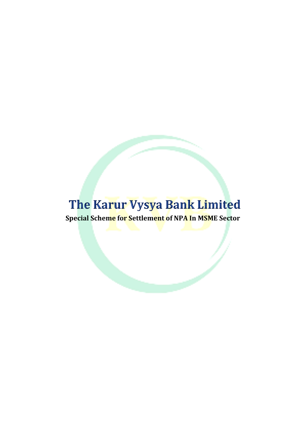# The Karur Vysya Bank Limited

**Special Scheme for Settlement of NPA In MSME Sector**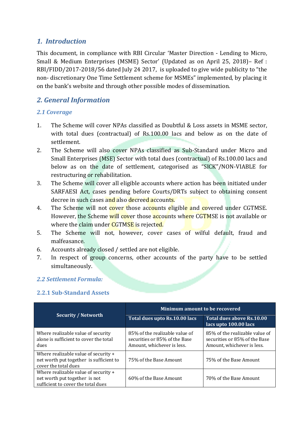## *1. Introduction*

This document, in compliance with RBI Circular 'Master Direction - Lending to Micro, Small & Medium Enterprises (MSME) Sector' (Updated as on April 25, 2018)– Ref : RBI/FIDD/2017-2018/56 dated July 24 2017, is uploaded to give wide publicity to "the non- discretionary One Time Settlement scheme for MSMEs" implemented, by placing it on the bank's website and through other possible modes of dissemination.

## *2. General Information*

### *2.1 Coverage*

- 1. The Scheme will cover NPAs classified as Doubtful & Loss assets in MSME sector, with total dues (contractual) of Rs.100.00 lacs and below as on the date of settlement.
- 2. The Scheme will also cover NPAs classified as Sub-Standard under Micro and Small Enterprises (MSE) Sector with total dues (contractual) of Rs.100.00 lacs and below as on the date of settlement, categorised as "SICK"/NON-VIABLE for restructuring or rehabilitation.
- 3. The Scheme will cover all eligible accounts where action has been initiated under SARFAESI Act, cases pending before Courts/DRTs subject to obtaining consent decree in such cases and also decreed accounts.
- 4. The Scheme will not cover those accounts eligible and covered under CGTMSE. However, the Scheme will cover those accounts where CGTMSE is not available or where the claim under CGTMSE is rejected.
- 5. The Scheme will not, however, cover cases of wilful default, fraud and malfeasance.
- 6. Accounts already closed / settled are not eligible.
- 7. In respect of group concerns, other accounts of the party have to be settled simultaneously.

## *2.2 Settlement Formula:*

#### **2.2.1 Sub-Standard Assets**

| <b>Security / Networth</b>                                                                                  | <b>Minimum amount to be recovered</b>                                                         |                                                                                               |  |
|-------------------------------------------------------------------------------------------------------------|-----------------------------------------------------------------------------------------------|-----------------------------------------------------------------------------------------------|--|
|                                                                                                             | Total dues upto Rs.10.00 lacs                                                                 | Total dues above Rs.10.00<br>lacs upto 100.00 lacs                                            |  |
| Where realizable value of security<br>alone is sufficient to cover the total<br>dues                        | 85% of the realizable value of<br>securities or 85% of the Base<br>Amount, whichever is less. | 85% of the realizable value of<br>securities or 85% of the Base<br>Amount, whichever is less. |  |
| Where realizable value of security +<br>net worth put together is sufficient to<br>cover the total dues     | 75% of the Base Amount                                                                        | 75% of the Base Amount                                                                        |  |
| Where realizable value of security +<br>net worth put together is not<br>sufficient to cover the total dues | 60% of the Base Amount                                                                        | 70% of the Base Amount                                                                        |  |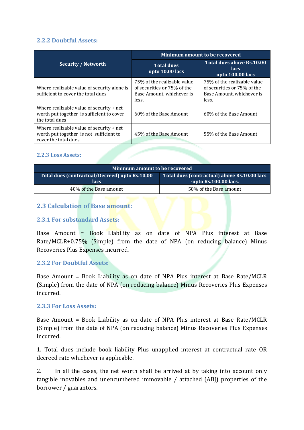#### **2.2.2 Doubtful Assets:**

|                                                                                                               | Minimum amount to be recovered                                                                   |                                                                                                  |  |
|---------------------------------------------------------------------------------------------------------------|--------------------------------------------------------------------------------------------------|--------------------------------------------------------------------------------------------------|--|
| <b>Security / Networth</b>                                                                                    | <b>Total dues</b><br>upto 10.00 lacs                                                             | Total dues above Rs.10.00<br>lacs<br>upto 100.00 lacs                                            |  |
| Where realizable value of security alone is<br>sufficient to cover the total dues                             | 75% of the realizable value<br>of securities or 75% of the<br>Base Amount, whichever is<br>less. | 75% of the realizable value<br>of securities or 75% of the<br>Base Amount, whichever is<br>less. |  |
| Where realizable value of security $+$ net<br>worth put together is sufficient to cover<br>the total dues     | 60% of the Base Amount                                                                           | 60% of the Base Amount                                                                           |  |
| Where realizable value of security $+$ net<br>worth put together is not sufficient to<br>cover the total dues | 45% of the Base Amount                                                                           | 55% of the Base Amount                                                                           |  |

#### **2.2.3 Loss Assets:**

| Minimum amount to be recovered                          |                                                                       |  |  |
|---------------------------------------------------------|-----------------------------------------------------------------------|--|--|
| Total dues (contractual/Decreed) upto Rs.10.00<br>lacs. | Total dues (contractual) above Rs.10.00 lacs<br>-upto Rs.100.00 lacs. |  |  |
| 40% of the Base amount                                  | 50% of the Base amount                                                |  |  |

#### **2.3 Calculation of Base amount:**

#### **2.3.1 For substandard Assets:**

Base Amount = Book Liability as on date of NPA Plus interest at Base Rate/MCLR+0.75% (Simple) from the date of NPA (on reducing balance) Minus Recoveries Plus Expenses incurred.

#### **2.3.2 For Doubtful Assets:**

Base Amount = Book Liability as on date of NPA Plus interest at Base Rate/MCLR (Simple) from the date of NPA (on reducing balance) Minus Recoveries Plus Expenses incurred.

#### **2.3.3 For Loss Assets:**

Base Amount = Book Liability as on date of NPA Plus interest at Base Rate/MCLR (Simple) from the date of NPA (on reducing balance) Minus Recoveries Plus Expenses incurred.

1. Total dues include book liability Plus unapplied interest at contractual rate OR decreed rate whichever is applicable.

2. In all the cases, the net worth shall be arrived at by taking into account only tangible movables and unencumbered immovable / attached (ABJ) properties of the borrower / guarantors.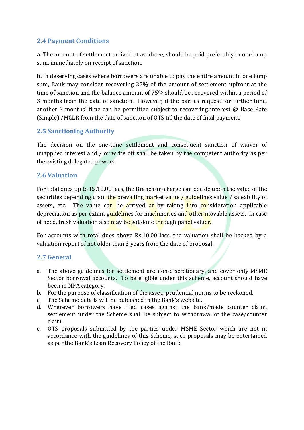## **2.4 Payment Conditions**

**a.** The amount of settlement arrived at as above, should be paid preferably in one lump sum, immediately on receipt of sanction.

**b.** In deserving cases where borrowers are unable to pay the entire amount in one lump sum, Bank may consider recovering 25% of the amount of settlement upfront at the time of sanction and the balance amount of 75% should be recovered within a period of 3 months from the date of sanction. However, if the parties request for further time, another 3 months' time can be permitted subject to recovering interest @ Base Rate (Simple) /MCLR from the date of sanction of OTS till the date of final payment.

## **2.5 Sanctioning Authority**

The decision on the one-time settlement and consequent sanction of waiver of unapplied interest and / or write off shall be taken by the competent authority as per the existing delegated powers.

#### **2.6 Valuation**

For total dues up to Rs.10.00 lacs, the Branch-in-charge can decide upon the value of the securities depending upon the prevailing market value / guidelines value / saleability of assets, etc. The value can be arrived at by taking into consideration applicable depreciation as per extant guidelines for machineries and other movable assets. In case of need, fresh valuation also may be got done through panel valuer.

For accounts with total dues above Rs.10.00 lacs, the valuation shall be backed by a valuation report of not older than 3 years from the date of proposal.

#### **2.7 General**

- a. The above guidelines for settlement are non-discretionary, and cover only MSME Sector borrowal accounts. To be eligible under this scheme, account should have been in NPA category.
- b. For the purpose of classification of the asset, prudential norms to be reckoned.
- c. The Scheme details will be published in the Bank's website.
- d. Wherever borrowers have filed cases against the bank/made counter claim, settlement under the Scheme shall be subject to withdrawal of the case/counter claim.
- e. OTS proposals submitted by the parties under MSME Sector which are not in accordance with the guidelines of this Scheme, such proposals may be entertained as per the Bank's Loan Recovery Policy of the Bank.